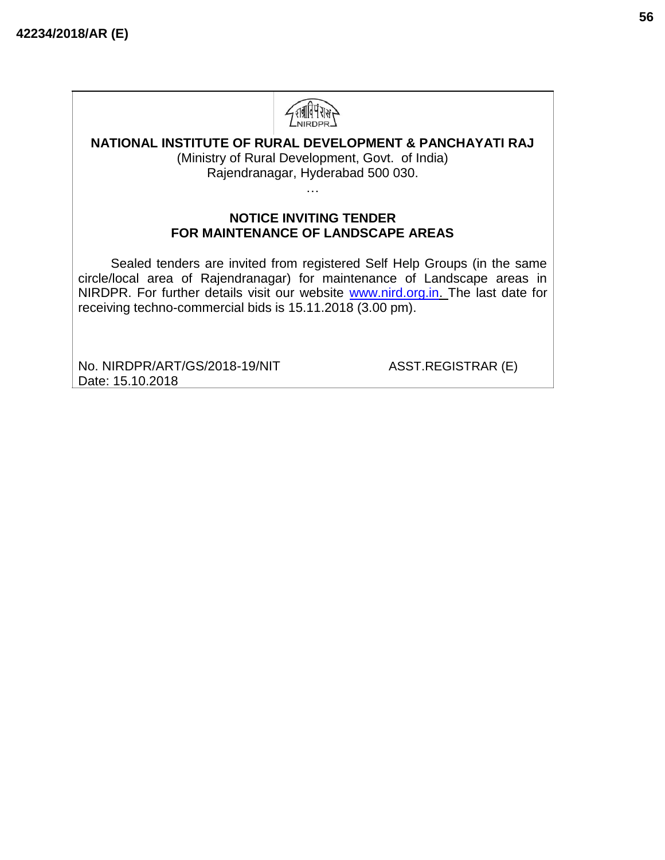

## **NATIONAL INSTITUTE OF RURAL DEVELOPMENT & PANCHAYATI RAJ**

(Ministry of Rural Development, Govt. of India) Rajendranagar, Hyderabad 500 030.

…

#### **NOTICE INVITING TENDER FOR MAINTENANCE OF LANDSCAPE AREAS**

Sealed tenders are invited from registered Self Help Groups (in the same circle/local area of Rajendranagar) for maintenance of Landscape areas in NIRDPR. For further details visit our website [www.nird.org.in. T](http://www.nird.org.in/)he last date for receiving techno-commercial bids is 15.11.2018 (3.00 pm).

No. NIRDPR/ART/GS/2018-19/NIT ASST.REGISTRAR (E) Date: 15.10.2018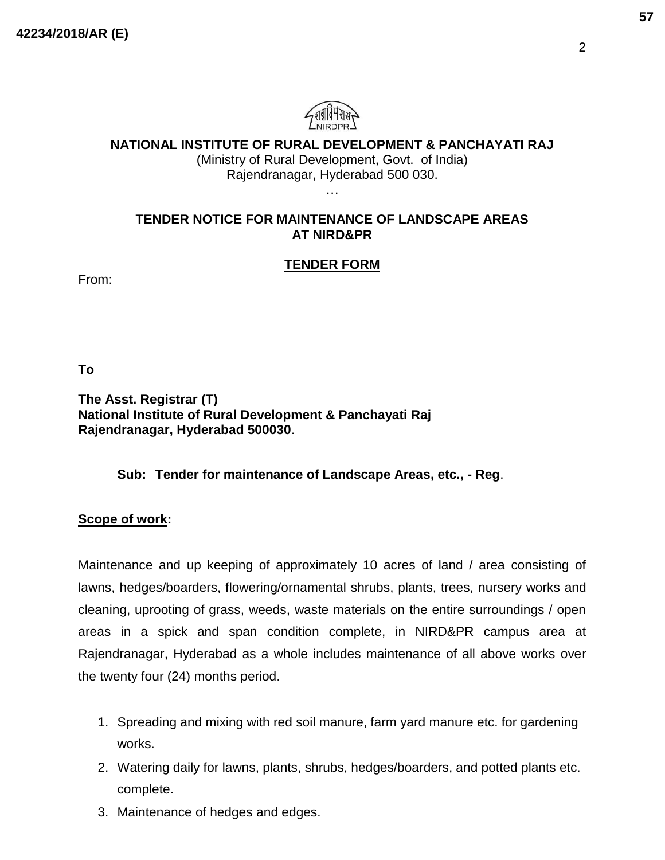

**NATIONAL INSTITUTE OF RURAL DEVELOPMENT & PANCHAYATI RAJ**

(Ministry of Rural Development, Govt. of India) Rajendranagar, Hyderabad 500 030. …

#### **TENDER NOTICE FOR MAINTENANCE OF LANDSCAPE AREAS AT NIRD&PR**

### **TENDER FORM**

From:

**To**

**The Asst. Registrar (T) National Institute of Rural Development & Panchayati Raj Rajendranagar, Hyderabad 500030**.

#### **Sub: Tender for maintenance of Landscape Areas, etc., - Reg**.

#### **Scope of work:**

Maintenance and up keeping of approximately 10 acres of land / area consisting of lawns, hedges/boarders, flowering/ornamental shrubs, plants, trees, nursery works and cleaning, uprooting of grass, weeds, waste materials on the entire surroundings / open areas in a spick and span condition complete, in NIRD&PR campus area at Rajendranagar, Hyderabad as a whole includes maintenance of all above works over the twenty four (24) months period.

- 1. Spreading and mixing with red soil manure, farm yard manure etc. for gardening works.
- 2. Watering daily for lawns, plants, shrubs, hedges/boarders, and potted plants etc. complete.
- 3. Maintenance of hedges and edges.

2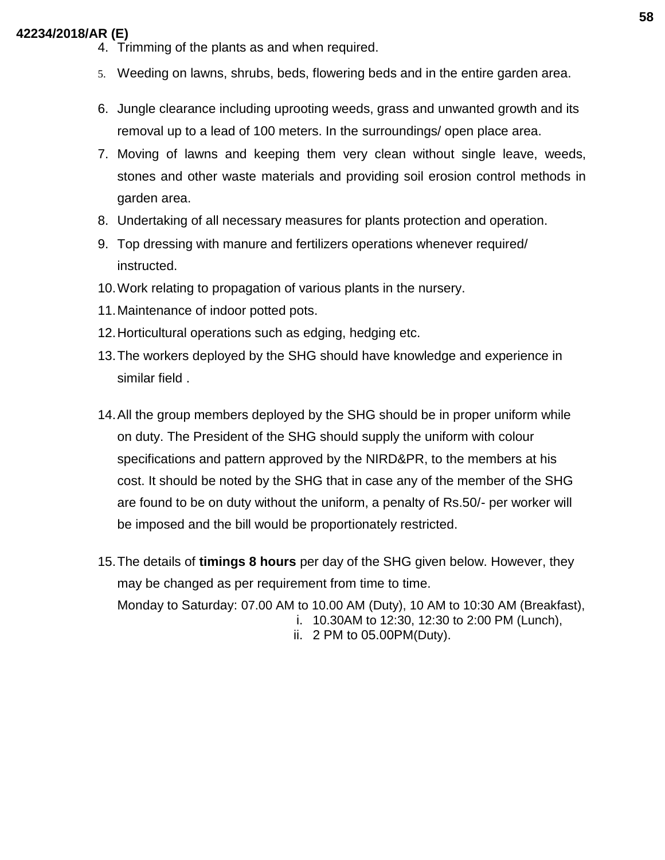- 4. Trimming of the plants as and when required.
- 5. Weeding on lawns, shrubs, beds, flowering beds and in the entire garden area.
- 6. Jungle clearance including uprooting weeds, grass and unwanted growth and its removal up to a lead of 100 meters. In the surroundings/ open place area.
- 7. Moving of lawns and keeping them very clean without single leave, weeds, stones and other waste materials and providing soil erosion control methods in garden area.
- 8. Undertaking of all necessary measures for plants protection and operation.
- 9. Top dressing with manure and fertilizers operations whenever required/ instructed.
- 10.Work relating to propagation of various plants in the nursery.
- 11.Maintenance of indoor potted pots.
- 12.Horticultural operations such as edging, hedging etc.
- 13.The workers deployed by the SHG should have knowledge and experience in similar field .
- 14.All the group members deployed by the SHG should be in proper uniform while on duty. The President of the SHG should supply the uniform with colour specifications and pattern approved by the NIRD&PR, to the members at his cost. It should be noted by the SHG that in case any of the member of the SHG are found to be on duty without the uniform, a penalty of Rs.50/- per worker will be imposed and the bill would be proportionately restricted.
- 15.The details of **timings 8 hours** per day of the SHG given below. However, they may be changed as per requirement from time to time. Monday to Saturday: 07.00 AM to 10.00 AM (Duty), 10 AM to 10:30 AM (Breakfast), i. 10.30AM to 12:30, 12:30 to 2:00 PM (Lunch),
	- ii. 2 PM to 05.00PM(Duty).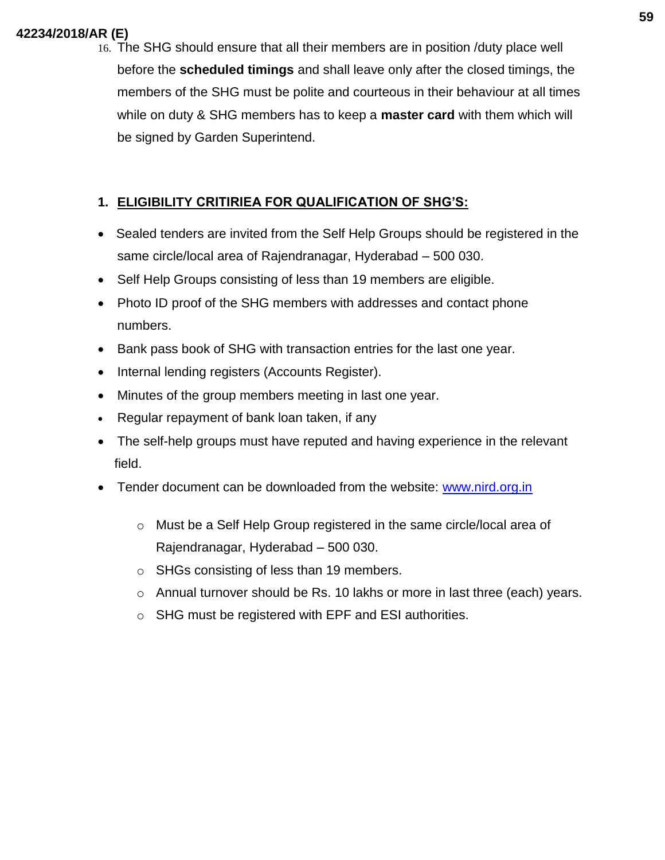16. The SHG should ensure that all their members are in position /duty place well before the **scheduled timings** and shall leave only after the closed timings, the members of the SHG must be polite and courteous in their behaviour at all times while on duty & SHG members has to keep a **master card** with them which will be signed by Garden Superintend.

# **1. ELIGIBILITY CRITIRIEA FOR QUALIFICATION OF SHG'S:**

- Sealed tenders are invited from the Self Help Groups should be registered in the same circle/local area of Rajendranagar, Hyderabad – 500 030.
- Self Help Groups consisting of less than 19 members are eligible.
- Photo ID proof of the SHG members with addresses and contact phone numbers.
- Bank pass book of SHG with transaction entries for the last one year.
- Internal lending registers (Accounts Register).
- Minutes of the group members meeting in last one year.
- Regular repayment of bank loan taken, if any
- The self-help groups must have reputed and having experience in the relevant field.
- Tender document can be downloaded from the website: [www.nird.org.in](http://www.nird.org.in/)
	- o Must be a Self Help Group registered in the same circle/local area of Rajendranagar, Hyderabad – 500 030.
	- o SHGs consisting of less than 19 members.
	- o Annual turnover should be Rs. 10 lakhs or more in last three (each) years.
	- o SHG must be registered with EPF and ESI authorities.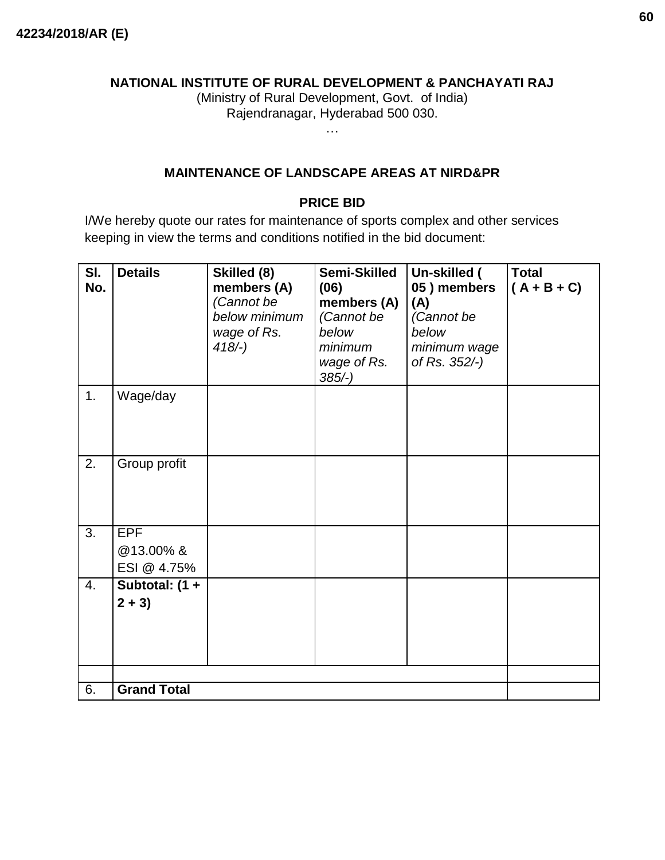#### **NATIONAL INSTITUTE OF RURAL DEVELOPMENT & PANCHAYATI RAJ**

(Ministry of Rural Development, Govt. of India) Rajendranagar, Hyderabad 500 030.

…

#### **MAINTENANCE OF LANDSCAPE AREAS AT NIRD&PR**

#### **PRICE BID**

I/We hereby quote our rates for maintenance of sports complex and other services keeping in view the terms and conditions notified in the bid document:

| SI.<br>No. | <b>Details</b>                 | Skilled (8)<br>members (A)<br>(Cannot be<br>below minimum<br>wage of Rs.<br>$418/-$ ) | Semi-Skilled<br>(06)<br>members (A)<br>(Cannot be<br>below<br>minimum<br>wage of Rs.<br>$385/-$ ) | Un-skilled (<br>05) members<br>(A)<br>(Cannot be<br>below<br>minimum wage<br>of Rs. 352/-) | <b>Total</b><br>$(A + B + C)$ |
|------------|--------------------------------|---------------------------------------------------------------------------------------|---------------------------------------------------------------------------------------------------|--------------------------------------------------------------------------------------------|-------------------------------|
| 1.         | Wage/day                       |                                                                                       |                                                                                                   |                                                                                            |                               |
| 2.         | Group profit                   |                                                                                       |                                                                                                   |                                                                                            |                               |
| 3.         | EPF<br>@13.00%&<br>ESI @ 4.75% |                                                                                       |                                                                                                   |                                                                                            |                               |
| 4.         | Subtotal: (1 +<br>$2 + 3$      |                                                                                       |                                                                                                   |                                                                                            |                               |
| 6.         | <b>Grand Total</b>             |                                                                                       |                                                                                                   |                                                                                            |                               |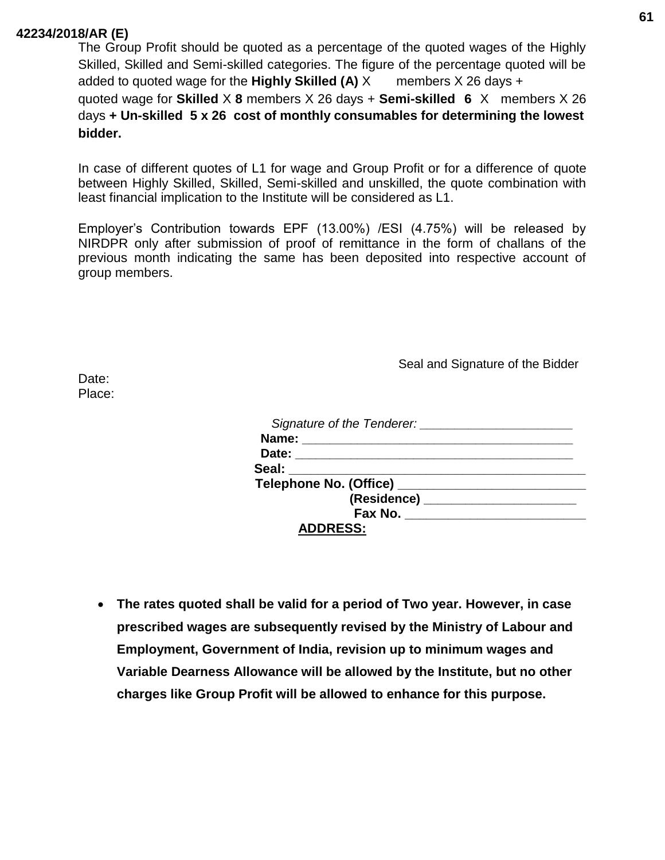The Group Profit should be quoted as a percentage of the quoted wages of the Highly Skilled, Skilled and Semi-skilled categories. The figure of the percentage quoted will be added to quoted wage for the **Highly Skilled (A)**  $X$  members  $X$  26 days  $+$ quoted wage for **Skilled** X **8** members X 26 days + **Semi-skilled 6** X members X 26 days **+ Un-skilled 5 x 26 cost of monthly consumables for determining the lowest bidder.**

In case of different quotes of L1 for wage and Group Profit or for a difference of quote between Highly Skilled, Skilled, Semi-skilled and unskilled, the quote combination with least financial implication to the Institute will be considered as L1.

Employer's Contribution towards EPF (13.00%) /ESI (4.75%) will be released by NIRDPR only after submission of proof of remittance in the form of challans of the previous month indicating the same has been deposited into respective account of group members.

Seal and Signature of the Bidder

Date: Place:

| Signature of the Tenderer:           |  |
|--------------------------------------|--|
| Name: ______________________         |  |
| Date: _________________________      |  |
| Seal: Seal                           |  |
|                                      |  |
| (Residence) ________________________ |  |
| Fax No. <u>______________</u>        |  |
| <b>ADDRESS:</b>                      |  |

• **The rates quoted shall be valid for a period of Two year. However, in case prescribed wages are subsequently revised by the Ministry of Labour and Employment, Government of India, revision up to minimum wages and Variable Dearness Allowance will be allowed by the Institute, but no other charges like Group Profit will be allowed to enhance for this purpose.**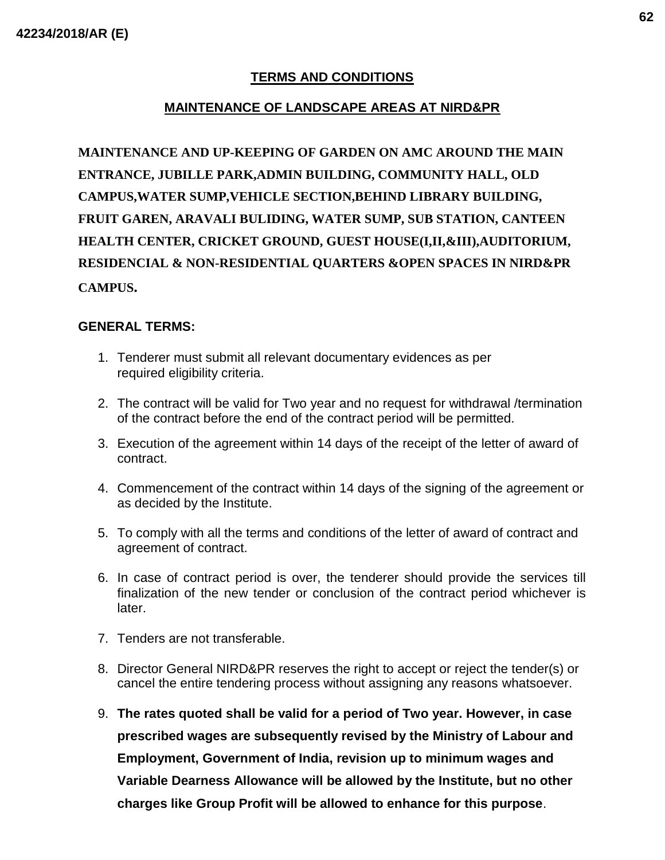### **TERMS AND CONDITIONS**

### **MAINTENANCE OF LANDSCAPE AREAS AT NIRD&PR**

**MAINTENANCE AND UP-KEEPING OF GARDEN ON AMC AROUND THE MAIN ENTRANCE, JUBILLE PARK,ADMIN BUILDING, COMMUNITY HALL, OLD CAMPUS,WATER SUMP,VEHICLE SECTION,BEHIND LIBRARY BUILDING, FRUIT GAREN, ARAVALI BULIDING, WATER SUMP, SUB STATION, CANTEEN HEALTH CENTER, CRICKET GROUND, GUEST HOUSE(I,II,&III),AUDITORIUM, RESIDENCIAL & NON-RESIDENTIAL QUARTERS &OPEN SPACES IN NIRD&PR CAMPUS.**

#### **GENERAL TERMS:**

- 1. Tenderer must submit all relevant documentary evidences as per required eligibility criteria.
- 2. The contract will be valid for Two year and no request for withdrawal /termination of the contract before the end of the contract period will be permitted.
- 3. Execution of the agreement within 14 days of the receipt of the letter of award of contract.
- 4. Commencement of the contract within 14 days of the signing of the agreement or as decided by the Institute.
- 5. To comply with all the terms and conditions of the letter of award of contract and agreement of contract.
- 6. In case of contract period is over, the tenderer should provide the services till finalization of the new tender or conclusion of the contract period whichever is later.
- 7. Tenders are not transferable.
- 8. Director General NIRD&PR reserves the right to accept or reject the tender(s) or cancel the entire tendering process without assigning any reasons whatsoever.
- 9. **The rates quoted shall be valid for a period of Two year. However, in case prescribed wages are subsequently revised by the Ministry of Labour and Employment, Government of India, revision up to minimum wages and Variable Dearness Allowance will be allowed by the Institute, but no other charges like Group Profit will be allowed to enhance for this purpose**.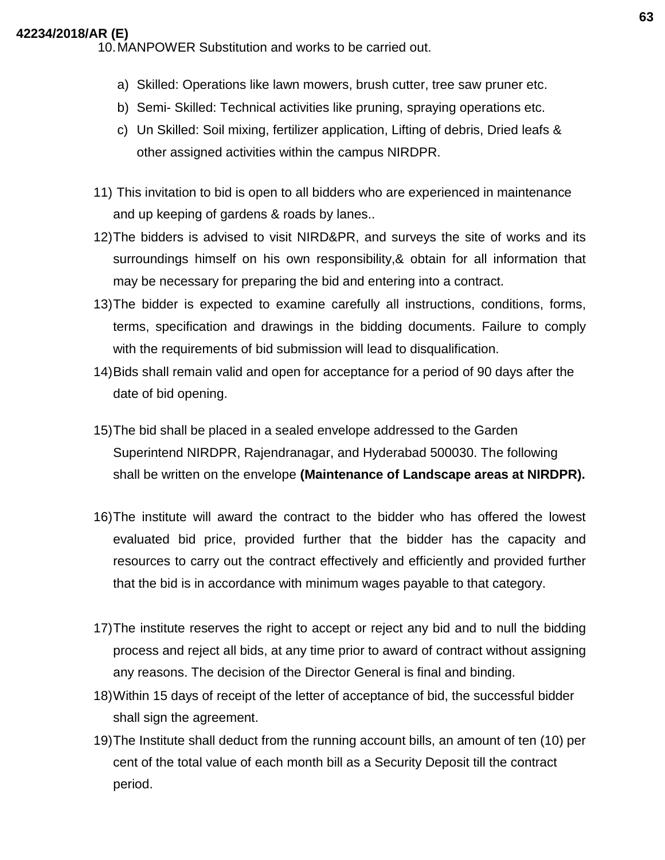10.MANPOWER Substitution and works to be carried out.

- a) Skilled: Operations like lawn mowers, brush cutter, tree saw pruner etc.
- b) Semi- Skilled: Technical activities like pruning, spraying operations etc.
- c) Un Skilled: Soil mixing, fertilizer application, Lifting of debris, Dried leafs & other assigned activities within the campus NIRDPR.
- 11) This invitation to bid is open to all bidders who are experienced in maintenance and up keeping of gardens & roads by lanes..
- 12)The bidders is advised to visit NIRD&PR, and surveys the site of works and its surroundings himself on his own responsibility,& obtain for all information that may be necessary for preparing the bid and entering into a contract.
- 13)The bidder is expected to examine carefully all instructions, conditions, forms, terms, specification and drawings in the bidding documents. Failure to comply with the requirements of bid submission will lead to disqualification.
- 14)Bids shall remain valid and open for acceptance for a period of 90 days after the date of bid opening.
- 15)The bid shall be placed in a sealed envelope addressed to the Garden Superintend NIRDPR, Rajendranagar, and Hyderabad 500030. The following shall be written on the envelope **(Maintenance of Landscape areas at NIRDPR).**
- 16)The institute will award the contract to the bidder who has offered the lowest evaluated bid price, provided further that the bidder has the capacity and resources to carry out the contract effectively and efficiently and provided further that the bid is in accordance with minimum wages payable to that category.
- 17)The institute reserves the right to accept or reject any bid and to null the bidding process and reject all bids, at any time prior to award of contract without assigning any reasons. The decision of the Director General is final and binding.
- 18)Within 15 days of receipt of the letter of acceptance of bid, the successful bidder shall sign the agreement.
- 19)The Institute shall deduct from the running account bills, an amount of ten (10) per cent of the total value of each month bill as a Security Deposit till the contract period.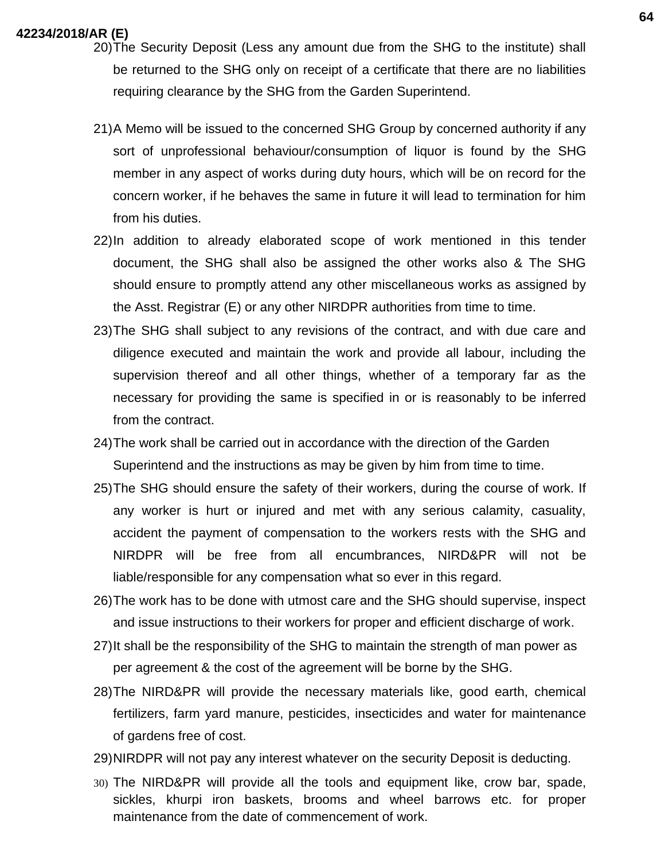- 20)The Security Deposit (Less any amount due from the SHG to the institute) shall be returned to the SHG only on receipt of a certificate that there are no liabilities requiring clearance by the SHG from the Garden Superintend.
- 21)A Memo will be issued to the concerned SHG Group by concerned authority if any sort of unprofessional behaviour/consumption of liquor is found by the SHG member in any aspect of works during duty hours, which will be on record for the concern worker, if he behaves the same in future it will lead to termination for him from his duties.
- 22)In addition to already elaborated scope of work mentioned in this tender document, the SHG shall also be assigned the other works also & The SHG should ensure to promptly attend any other miscellaneous works as assigned by the Asst. Registrar (E) or any other NIRDPR authorities from time to time.
- 23)The SHG shall subject to any revisions of the contract, and with due care and diligence executed and maintain the work and provide all labour, including the supervision thereof and all other things, whether of a temporary far as the necessary for providing the same is specified in or is reasonably to be inferred from the contract.
- 24)The work shall be carried out in accordance with the direction of the Garden Superintend and the instructions as may be given by him from time to time.
- 25)The SHG should ensure the safety of their workers, during the course of work. If any worker is hurt or injured and met with any serious calamity, casuality, accident the payment of compensation to the workers rests with the SHG and NIRDPR will be free from all encumbrances, NIRD&PR will not be liable/responsible for any compensation what so ever in this regard.
- 26)The work has to be done with utmost care and the SHG should supervise, inspect and issue instructions to their workers for proper and efficient discharge of work.
- 27)It shall be the responsibility of the SHG to maintain the strength of man power as per agreement & the cost of the agreement will be borne by the SHG.
- 28)The NIRD&PR will provide the necessary materials like, good earth, chemical fertilizers, farm yard manure, pesticides, insecticides and water for maintenance of gardens free of cost.
- 29)NIRDPR will not pay any interest whatever on the security Deposit is deducting.
- 30) The NIRD&PR will provide all the tools and equipment like, crow bar, spade, sickles, khurpi iron baskets, brooms and wheel barrows etc. for proper maintenance from the date of commencement of work.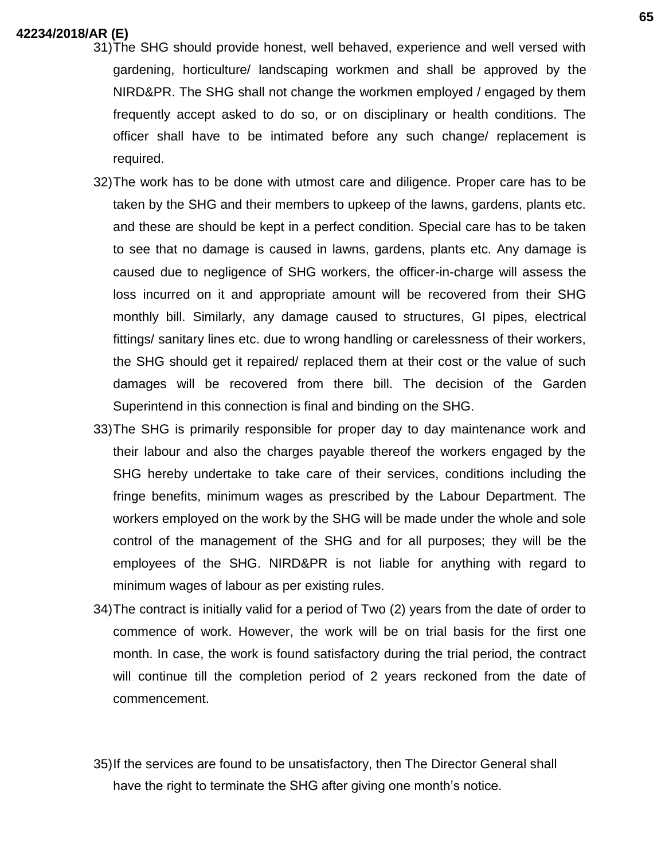- 31)The SHG should provide honest, well behaved, experience and well versed with gardening, horticulture/ landscaping workmen and shall be approved by the NIRD&PR. The SHG shall not change the workmen employed / engaged by them frequently accept asked to do so, or on disciplinary or health conditions. The officer shall have to be intimated before any such change/ replacement is required.
- 32)The work has to be done with utmost care and diligence. Proper care has to be taken by the SHG and their members to upkeep of the lawns, gardens, plants etc. and these are should be kept in a perfect condition. Special care has to be taken to see that no damage is caused in lawns, gardens, plants etc. Any damage is caused due to negligence of SHG workers, the officer-in-charge will assess the loss incurred on it and appropriate amount will be recovered from their SHG monthly bill. Similarly, any damage caused to structures, GI pipes, electrical fittings/ sanitary lines etc. due to wrong handling or carelessness of their workers, the SHG should get it repaired/ replaced them at their cost or the value of such damages will be recovered from there bill. The decision of the Garden Superintend in this connection is final and binding on the SHG.
- 33)The SHG is primarily responsible for proper day to day maintenance work and their labour and also the charges payable thereof the workers engaged by the SHG hereby undertake to take care of their services, conditions including the fringe benefits, minimum wages as prescribed by the Labour Department. The workers employed on the work by the SHG will be made under the whole and sole control of the management of the SHG and for all purposes; they will be the employees of the SHG. NIRD&PR is not liable for anything with regard to minimum wages of labour as per existing rules.
- 34)The contract is initially valid for a period of Two (2) years from the date of order to commence of work. However, the work will be on trial basis for the first one month. In case, the work is found satisfactory during the trial period, the contract will continue till the completion period of 2 years reckoned from the date of commencement.
- 35)If the services are found to be unsatisfactory, then The Director General shall have the right to terminate the SHG after giving one month's notice.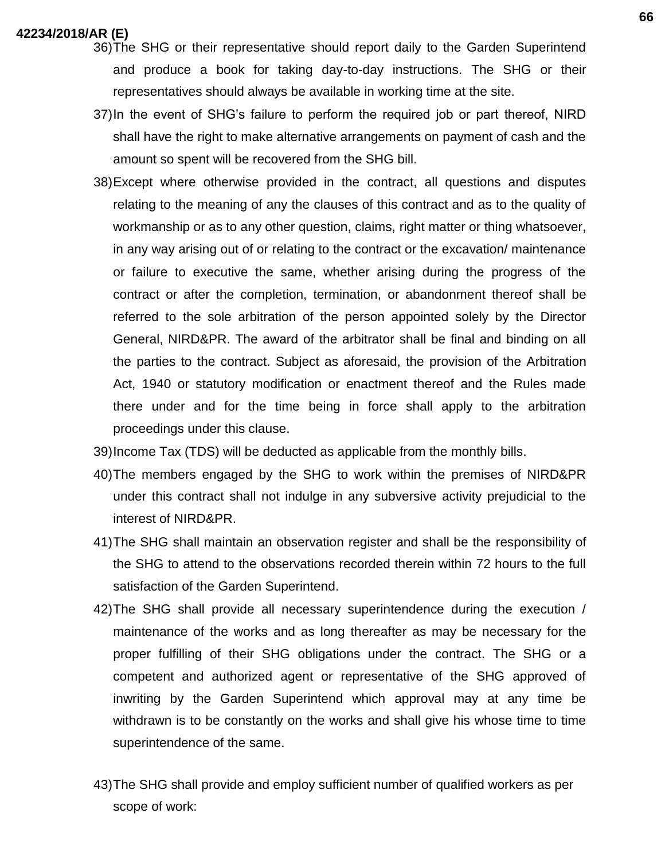- 36)The SHG or their representative should report daily to the Garden Superintend and produce a book for taking day-to-day instructions. The SHG or their representatives should always be available in working time at the site.
- 37)In the event of SHG's failure to perform the required job or part thereof, NIRD shall have the right to make alternative arrangements on payment of cash and the amount so spent will be recovered from the SHG bill.
- 38)Except where otherwise provided in the contract, all questions and disputes relating to the meaning of any the clauses of this contract and as to the quality of workmanship or as to any other question, claims, right matter or thing whatsoever, in any way arising out of or relating to the contract or the excavation/ maintenance or failure to executive the same, whether arising during the progress of the contract or after the completion, termination, or abandonment thereof shall be referred to the sole arbitration of the person appointed solely by the Director General, NIRD&PR. The award of the arbitrator shall be final and binding on all the parties to the contract. Subject as aforesaid, the provision of the Arbitration Act, 1940 or statutory modification or enactment thereof and the Rules made there under and for the time being in force shall apply to the arbitration proceedings under this clause.
- 39)Income Tax (TDS) will be deducted as applicable from the monthly bills.
- 40)The members engaged by the SHG to work within the premises of NIRD&PR under this contract shall not indulge in any subversive activity prejudicial to the interest of NIRD&PR.
- 41)The SHG shall maintain an observation register and shall be the responsibility of the SHG to attend to the observations recorded therein within 72 hours to the full satisfaction of the Garden Superintend.
- 42)The SHG shall provide all necessary superintendence during the execution / maintenance of the works and as long thereafter as may be necessary for the proper fulfilling of their SHG obligations under the contract. The SHG or a competent and authorized agent or representative of the SHG approved of inwriting by the Garden Superintend which approval may at any time be withdrawn is to be constantly on the works and shall give his whose time to time superintendence of the same.
- 43)The SHG shall provide and employ sufficient number of qualified workers as per scope of work: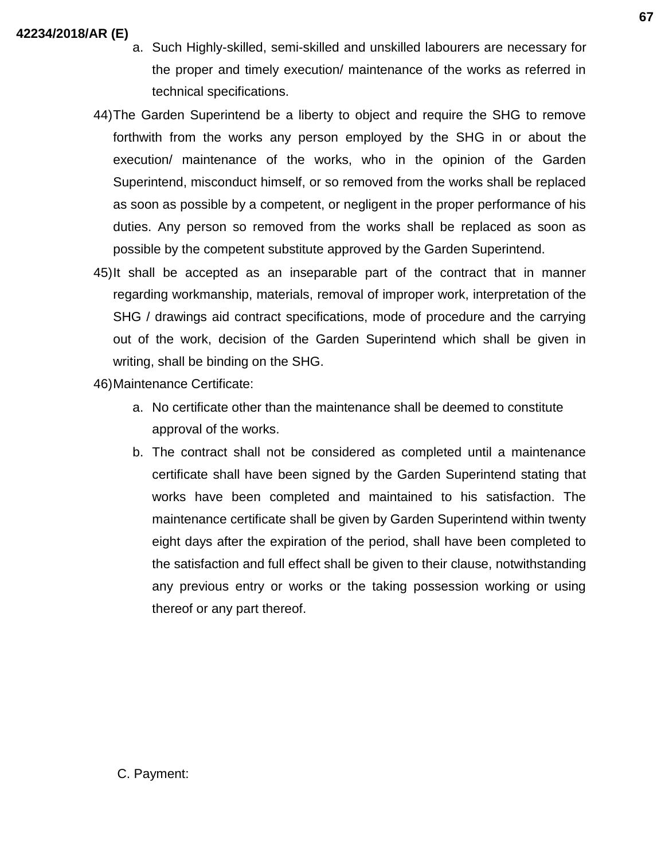- a. Such Highly-skilled, semi-skilled and unskilled labourers are necessary for the proper and timely execution/ maintenance of the works as referred in technical specifications.
- 44)The Garden Superintend be a liberty to object and require the SHG to remove forthwith from the works any person employed by the SHG in or about the execution/ maintenance of the works, who in the opinion of the Garden Superintend, misconduct himself, or so removed from the works shall be replaced as soon as possible by a competent, or negligent in the proper performance of his duties. Any person so removed from the works shall be replaced as soon as possible by the competent substitute approved by the Garden Superintend.
- 45)It shall be accepted as an inseparable part of the contract that in manner regarding workmanship, materials, removal of improper work, interpretation of the SHG / drawings aid contract specifications, mode of procedure and the carrying out of the work, decision of the Garden Superintend which shall be given in writing, shall be binding on the SHG.

46)Maintenance Certificate:

- a. No certificate other than the maintenance shall be deemed to constitute approval of the works.
- b. The contract shall not be considered as completed until a maintenance certificate shall have been signed by the Garden Superintend stating that works have been completed and maintained to his satisfaction. The maintenance certificate shall be given by Garden Superintend within twenty eight days after the expiration of the period, shall have been completed to the satisfaction and full effect shall be given to their clause, notwithstanding any previous entry or works or the taking possession working or using thereof or any part thereof.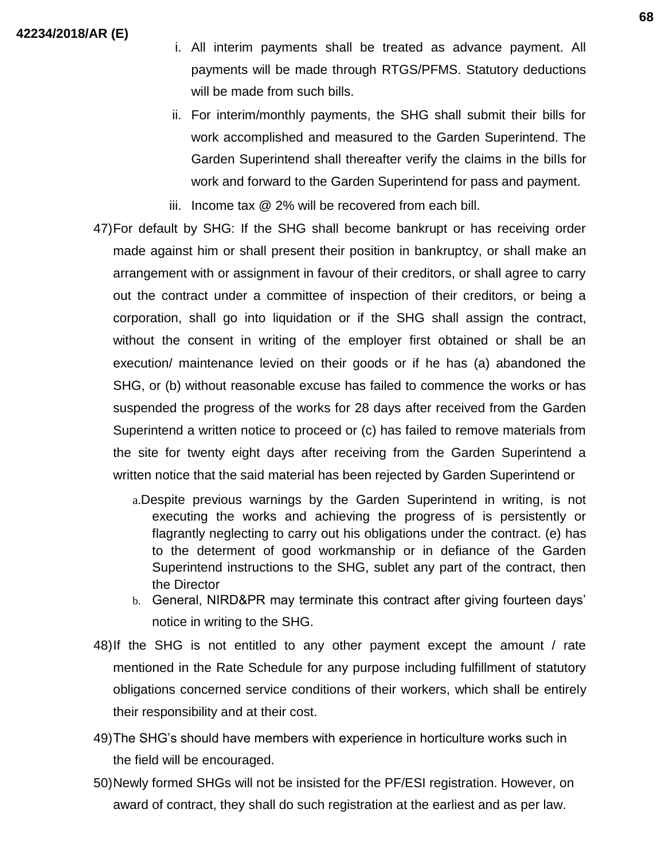- i. All interim payments shall be treated as advance payment. All payments will be made through RTGS/PFMS. Statutory deductions will be made from such bills.
- ii. For interim/monthly payments, the SHG shall submit their bills for work accomplished and measured to the Garden Superintend. The Garden Superintend shall thereafter verify the claims in the bills for work and forward to the Garden Superintend for pass and payment.
- iii. Income tax @ 2% will be recovered from each bill.
- 47)For default by SHG: If the SHG shall become bankrupt or has receiving order made against him or shall present their position in bankruptcy, or shall make an arrangement with or assignment in favour of their creditors, or shall agree to carry out the contract under a committee of inspection of their creditors, or being a corporation, shall go into liquidation or if the SHG shall assign the contract, without the consent in writing of the employer first obtained or shall be an execution/ maintenance levied on their goods or if he has (a) abandoned the SHG, or (b) without reasonable excuse has failed to commence the works or has suspended the progress of the works for 28 days after received from the Garden Superintend a written notice to proceed or (c) has failed to remove materials from the site for twenty eight days after receiving from the Garden Superintend a written notice that the said material has been rejected by Garden Superintend or
	- a.Despite previous warnings by the Garden Superintend in writing, is not executing the works and achieving the progress of is persistently or flagrantly neglecting to carry out his obligations under the contract. (e) has to the determent of good workmanship or in defiance of the Garden Superintend instructions to the SHG, sublet any part of the contract, then the Director
	- b. General, NIRD&PR may terminate this contract after giving fourteen days' notice in writing to the SHG.
- 48)If the SHG is not entitled to any other payment except the amount / rate mentioned in the Rate Schedule for any purpose including fulfillment of statutory obligations concerned service conditions of their workers, which shall be entirely their responsibility and at their cost.
- 49)The SHG's should have members with experience in horticulture works such in the field will be encouraged.
- 50)Newly formed SHGs will not be insisted for the PF/ESI registration. However, on award of contract, they shall do such registration at the earliest and as per law.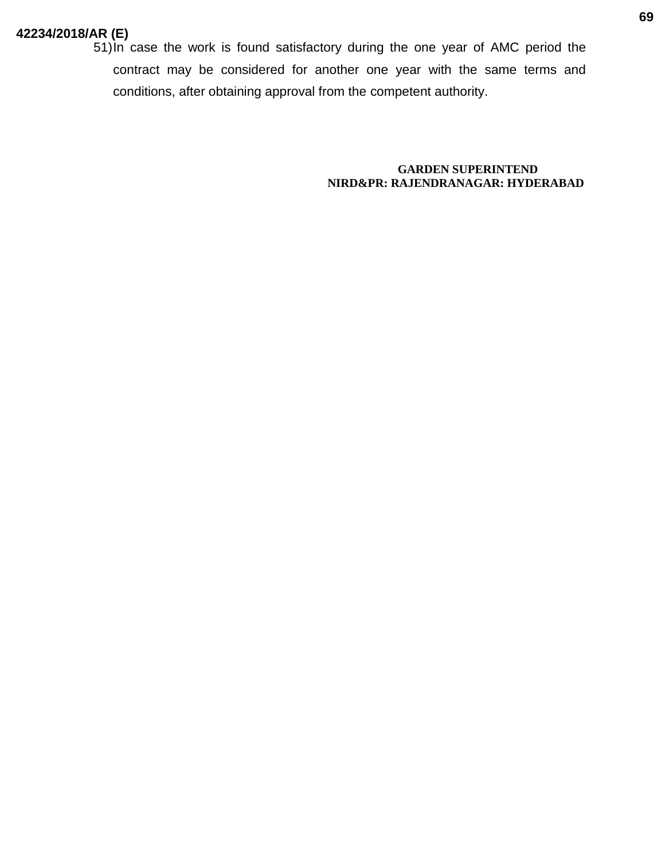51)In case the work is found satisfactory during the one year of AMC period the contract may be considered for another one year with the same terms and conditions, after obtaining approval from the competent authority.

> **GARDEN SUPERINTEND NIRD&PR: RAJENDRANAGAR: HYDERABAD**